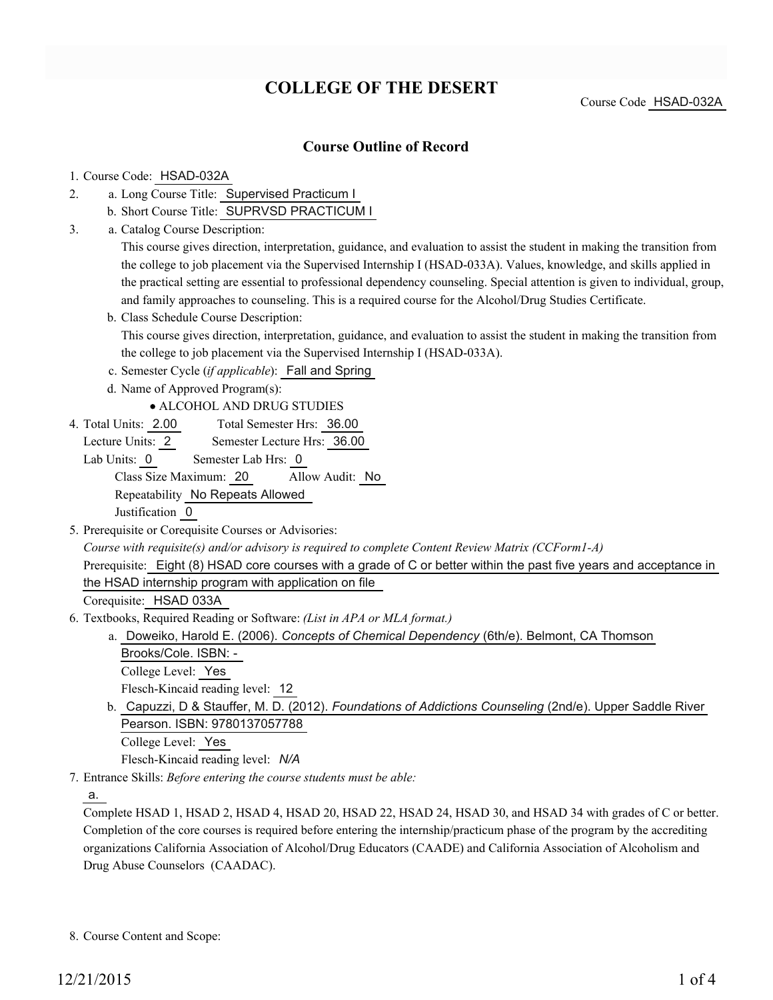# **COLLEGE OF THE DESERT**

Course Code HSAD-032A

## **Course Outline of Record**

#### 1. Course Code: HSAD-032A

- a. Long Course Title: Supervised Practicum I 2.
	- b. Short Course Title: SUPRVSD PRACTICUM I
- Catalog Course Description: a. 3.

This course gives direction, interpretation, guidance, and evaluation to assist the student in making the transition from the college to job placement via the Supervised Internship I (HSAD-033A). Values, knowledge, and skills applied in the practical setting are essential to professional dependency counseling. Special attention is given to individual, group, and family approaches to counseling. This is a required course for the Alcohol/Drug Studies Certificate.

- b. Class Schedule Course Description: This course gives direction, interpretation, guidance, and evaluation to assist the student in making the transition from the college to job placement via the Supervised Internship I (HSAD-033A).
- c. Semester Cycle (*if applicable*): Fall and Spring
- d. Name of Approved Program(s):

ALCOHOL AND DRUG STUDIES

- Total Semester Hrs: 36.00 4. Total Units: 2.00
	- Lecture Units: 2 Semester Lecture Hrs: 36.00

Lab Units: 0 Semester Lab Hrs: 0 Class Size Maximum: 20 Allow Audit: No Repeatability No Repeats Allowed Justification 0

5. Prerequisite or Corequisite Courses or Advisories:

*Course with requisite(s) and/or advisory is required to complete Content Review Matrix (CCForm1-A)* Prerequisite: Eight (8) HSAD core courses with a grade of C or better within the past five years and acceptance in the HSAD internship program with application on file

Corequisite: HSAD 033A

- Textbooks, Required Reading or Software: *(List in APA or MLA format.)* 6.
	- a. Doweiko, Harold E. (2006). *Concepts of Chemical Dependency* (6th/e). Belmont, CA Thomson Brooks/Cole. ISBN: - College Level: Yes

Flesch-Kincaid reading level: 12

b. Capuzzi, D & Stauffer, M. D. (2012). *Foundations of Addictions Counseling* (2nd/e). Upper Saddle River Pearson. ISBN: 9780137057788 College Level: Yes

Flesch-Kincaid reading level: *N/A*

Entrance Skills: *Before entering the course students must be able:* 7.

a.

Complete HSAD 1, HSAD 2, HSAD 4, HSAD 20, HSAD 22, HSAD 24, HSAD 30, and HSAD 34 with grades of C or better. Completion of the core courses is required before entering the internship/practicum phase of the program by the accrediting organizations California Association of Alcohol/Drug Educators (CAADE) and California Association of Alcoholism and Drug Abuse Counselors (CAADAC).

<sup>8.</sup> Course Content and Scope: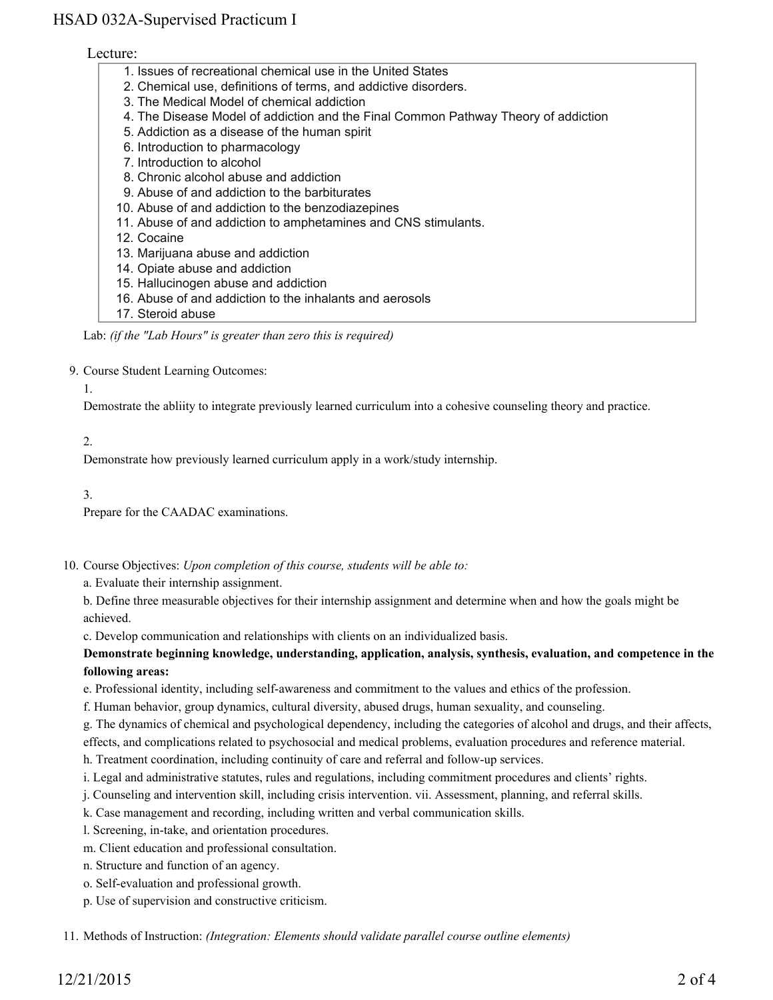# HSAD 032A-Supervised Practicum I

#### Lecture:

- 1. Issues of recreational chemical use in the United States
- 2. Chemical use, definitions of terms, and addictive disorders.
- 3. The Medical Model of chemical addiction
- 4. The Disease Model of addiction and the Final Common Pathway Theory of addiction
- 5. Addiction as a disease of the human spirit
- 6. Introduction to pharmacology
- 7. Introduction to alcohol
- 8. Chronic alcohol abuse and addiction
- 9. Abuse of and addiction to the barbiturates
- 10. Abuse of and addiction to the benzodiazepines
- 11. Abuse of and addiction to amphetamines and CNS stimulants.
- 12. Cocaine
- 13. Marijuana abuse and addiction
- 14. Opiate abuse and addiction
- 15. Hallucinogen abuse and addiction
- 16. Abuse of and addiction to the inhalants and aerosols
- 17. Steroid abuse

Lab: *(if the "Lab Hours" is greater than zero this is required)*

9. Course Student Learning Outcomes:

#### 1.

Demostrate the abliity to integrate previously learned curriculum into a cohesive counseling theory and practice.

## 2.

Demonstrate how previously learned curriculum apply in a work/study internship.

3.

Prepare for the CAADAC examinations.

10. Course Objectives: Upon completion of this course, students will be able to:

a. Evaluate their internship assignment.

b. Define three measurable objectives for their internship assignment and determine when and how the goals might be achieved.

c. Develop communication and relationships with clients on an individualized basis.

**Demonstrate beginning knowledge, understanding, application, analysis, synthesis, evaluation, and competence in the following areas:**

e. Professional identity, including self-awareness and commitment to the values and ethics of the profession.

f. Human behavior, group dynamics, cultural diversity, abused drugs, human sexuality, and counseling.

g. The dynamics of chemical and psychological dependency, including the categories of alcohol and drugs, and their affects,

effects, and complications related to psychosocial and medical problems, evaluation procedures and reference material.

h. Treatment coordination, including continuity of care and referral and follow-up services.

i. Legal and administrative statutes, rules and regulations, including commitment procedures and clients' rights.

- j. Counseling and intervention skill, including crisis intervention. vii. Assessment, planning, and referral skills.
- k. Case management and recording, including written and verbal communication skills.
- l. Screening, in-take, and orientation procedures.

m. Client education and professional consultation.

- n. Structure and function of an agency.
- o. Self-evaluation and professional growth.
- p. Use of supervision and constructive criticism.

11. Methods of Instruction: *(Integration: Elements should validate parallel course outline elements)*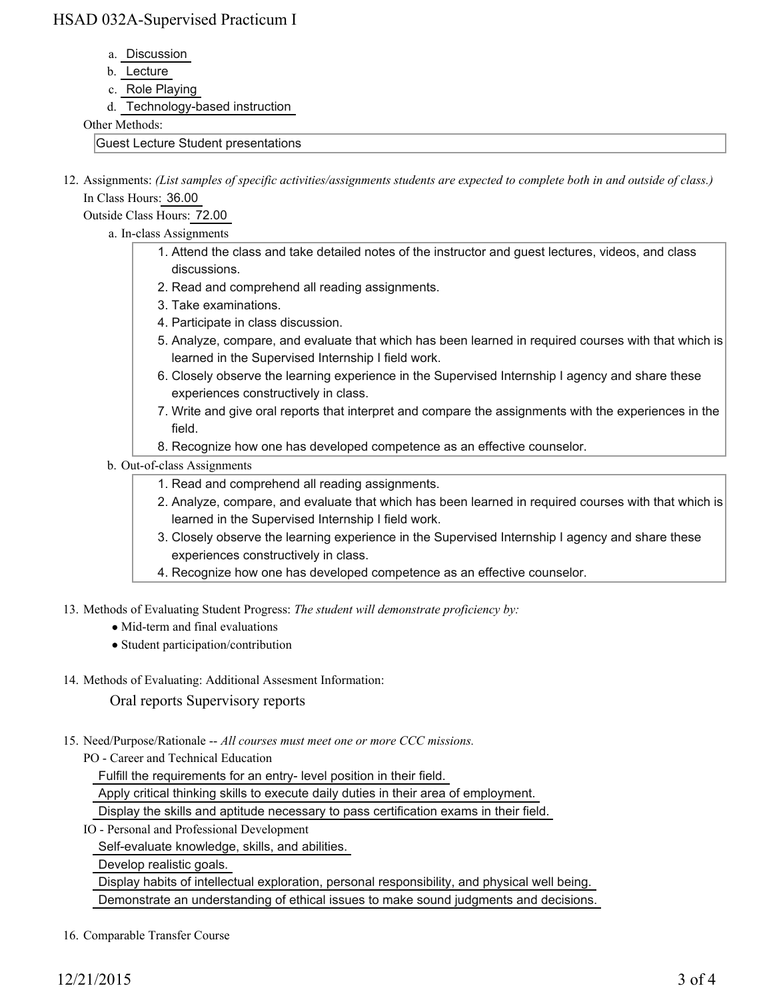## HSAD 032A-Supervised Practicum I

- a. Discussion
- b. Lecture
- c. Role Playing
- d. Technology-based instruction

Other Methods:

Guest Lecture Student presentations

12. Assignments: (List samples of specific activities/assignments students are expected to complete both in and outside of class.) In Class Hours: 36.00

Outside Class Hours: 72.00

- a. In-class Assignments
	- Attend the class and take detailed notes of the instructor and guest lectures, videos, and class 1. discussions.
	- 2. Read and comprehend all reading assignments.
	- 3. Take examinations.
	- 4. Participate in class discussion.
	- 5. Analyze, compare, and evaluate that which has been learned in required courses with that which is learned in the Supervised Internship I field work.
	- 6. Closely observe the learning experience in the Supervised Internship I agency and share these experiences constructively in class.
	- 7. Write and give oral reports that interpret and compare the assignments with the experiences in the field.
	- 8. Recognize how one has developed competence as an effective counselor.

## b. Out-of-class Assignments

- 1. Read and comprehend all reading assignments.
- 2. Analyze, compare, and evaluate that which has been learned in required courses with that which is learned in the Supervised Internship I field work.
- 3. Closely observe the learning experience in the Supervised Internship I agency and share these experiences constructively in class.
- 4. Recognize how one has developed competence as an effective counselor.
- 13. Methods of Evaluating Student Progress: The student will demonstrate proficiency by:
	- Mid-term and final evaluations
	- Student participation/contribution
- 14. Methods of Evaluating: Additional Assesment Information:

Oral reports Supervisory reports

15. Need/Purpose/Rationale -- All courses must meet one or more CCC missions.

PO - Career and Technical Education

Fulfill the requirements for an entry- level position in their field.

Apply critical thinking skills to execute daily duties in their area of employment.

Display the skills and aptitude necessary to pass certification exams in their field.

IO - Personal and Professional Development

Self-evaluate knowledge, skills, and abilities.

Develop realistic goals.

 Display habits of intellectual exploration, personal responsibility, and physical well being. Demonstrate an understanding of ethical issues to make sound judgments and decisions.

16. Comparable Transfer Course